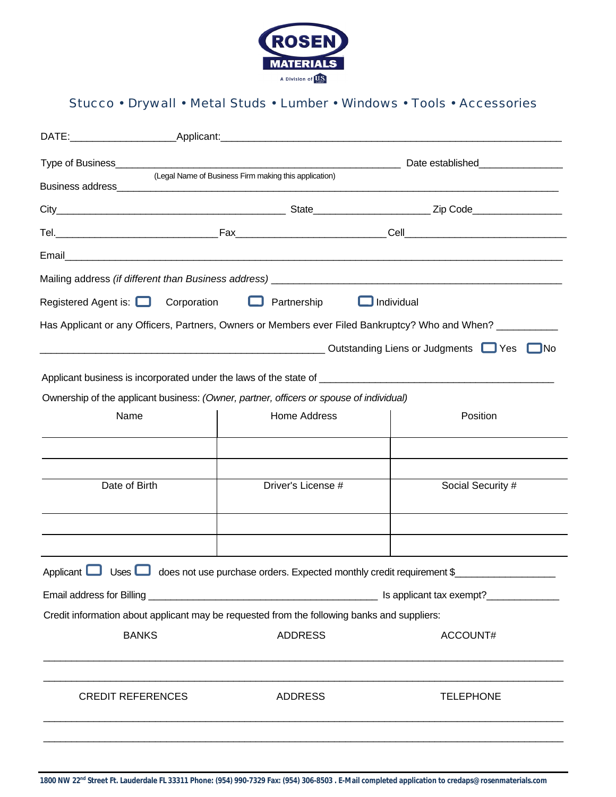

## Stucco • Drywall • Metal Studs • Lumber • Windows • Tools • Accessories

|                                                                                         |             |                                                                                             | Date established___________________ |                                                                                                           |  |
|-----------------------------------------------------------------------------------------|-------------|---------------------------------------------------------------------------------------------|-------------------------------------|-----------------------------------------------------------------------------------------------------------|--|
|                                                                                         |             | (Legal Name of Business Firm making this application)                                       |                                     |                                                                                                           |  |
|                                                                                         |             |                                                                                             |                                     |                                                                                                           |  |
|                                                                                         |             |                                                                                             |                                     |                                                                                                           |  |
|                                                                                         |             |                                                                                             |                                     |                                                                                                           |  |
|                                                                                         |             |                                                                                             |                                     |                                                                                                           |  |
| Registered Agent is: $\Box$                                                             | Corporation | $\Box$ Partnership                                                                          | $\Box$ Individual                   |                                                                                                           |  |
|                                                                                         |             |                                                                                             |                                     | Has Applicant or any Officers, Partners, Owners or Members ever Filed Bankruptcy? Who and When? _________ |  |
|                                                                                         |             |                                                                                             |                                     | Outstanding Liens or Judgments Samples<br>__INo                                                           |  |
|                                                                                         |             |                                                                                             |                                     |                                                                                                           |  |
| Ownership of the applicant business: (Owner, partner, officers or spouse of individual) |             |                                                                                             |                                     |                                                                                                           |  |
| Name                                                                                    |             | Home Address                                                                                |                                     | Position                                                                                                  |  |
|                                                                                         |             |                                                                                             |                                     |                                                                                                           |  |
|                                                                                         |             |                                                                                             |                                     |                                                                                                           |  |
|                                                                                         |             |                                                                                             |                                     |                                                                                                           |  |
| Date of Birth                                                                           |             | Driver's License #                                                                          |                                     | Social Security #                                                                                         |  |
|                                                                                         |             |                                                                                             |                                     |                                                                                                           |  |
|                                                                                         |             |                                                                                             |                                     |                                                                                                           |  |
|                                                                                         |             |                                                                                             |                                     |                                                                                                           |  |
| Applicant<br>Uses $\Box$                                                                |             | does not use purchase orders. Expected monthly credit requirement \$                        |                                     |                                                                                                           |  |
| Is applicant tax exempt?                                                                |             |                                                                                             |                                     |                                                                                                           |  |
|                                                                                         |             | Credit information about applicant may be requested from the following banks and suppliers: |                                     |                                                                                                           |  |
| <b>BANKS</b>                                                                            |             | <b>ADDRESS</b>                                                                              |                                     | ACCOUNT#                                                                                                  |  |
|                                                                                         |             |                                                                                             |                                     |                                                                                                           |  |
|                                                                                         |             |                                                                                             |                                     |                                                                                                           |  |
| <b>CREDIT REFERENCES</b>                                                                |             | <b>ADDRESS</b>                                                                              |                                     | <b>TELEPHONE</b>                                                                                          |  |
|                                                                                         |             |                                                                                             |                                     |                                                                                                           |  |
|                                                                                         |             |                                                                                             |                                     |                                                                                                           |  |
|                                                                                         |             |                                                                                             |                                     |                                                                                                           |  |